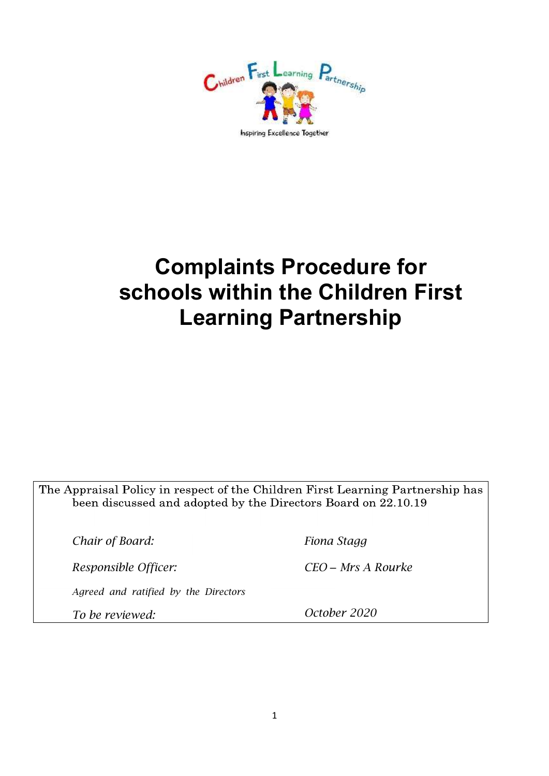

# Complaints Procedure for schools within the Children First Learning Partnership

The Appraisal Policy in respect of the Children First Learning Partnership has been discussed and adopted by the Directors Board on 22.10.19

Chair of Board: Fiona Stagg

Responsible Officer: CEO – Mrs A Rourke

Agreed and ratified by the Directors

To be reviewed:  $\qquad \qquad$  October 2020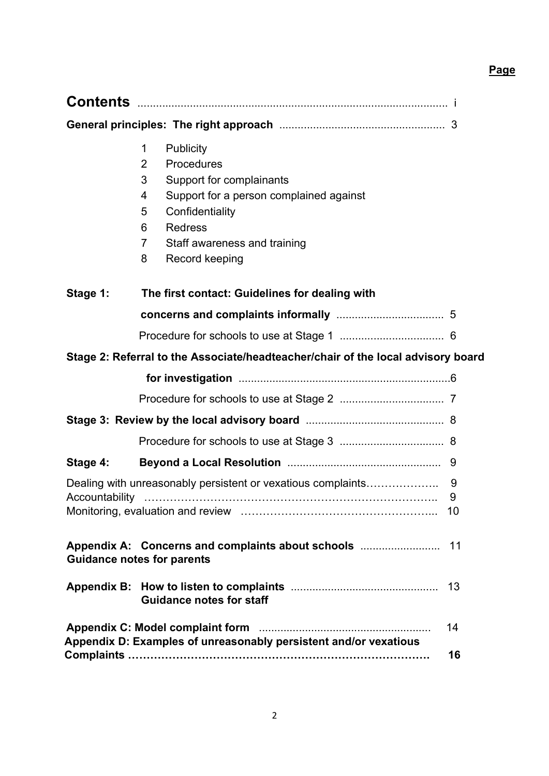### Page

|          | Publicity<br>1                                                                   |    |
|----------|----------------------------------------------------------------------------------|----|
|          | Procedures<br>2                                                                  |    |
|          | 3<br>Support for complainants                                                    |    |
|          | Support for a person complained against<br>4                                     |    |
|          | 5<br>Confidentiality                                                             |    |
|          | <b>Redress</b><br>6                                                              |    |
|          | $\overline{7}$<br>Staff awareness and training                                   |    |
|          | 8<br>Record keeping                                                              |    |
| Stage 1: | The first contact: Guidelines for dealing with                                   |    |
|          |                                                                                  |    |
|          |                                                                                  |    |
|          | Stage 2: Referral to the Associate/headteacher/chair of the local advisory board |    |
|          |                                                                                  |    |
|          |                                                                                  |    |
|          |                                                                                  |    |
|          |                                                                                  |    |
| Stage 4: |                                                                                  | 9  |
|          | Dealing with unreasonably persistent or vexatious complaints                     | 9  |
|          |                                                                                  | 9  |
|          |                                                                                  | 10 |
|          | <b>Guidance notes for parents</b>                                                |    |
|          | <b>Guidance notes for staff</b>                                                  | 13 |
|          |                                                                                  | 14 |
|          | Appendix D: Examples of unreasonably persistent and/or vexatious                 |    |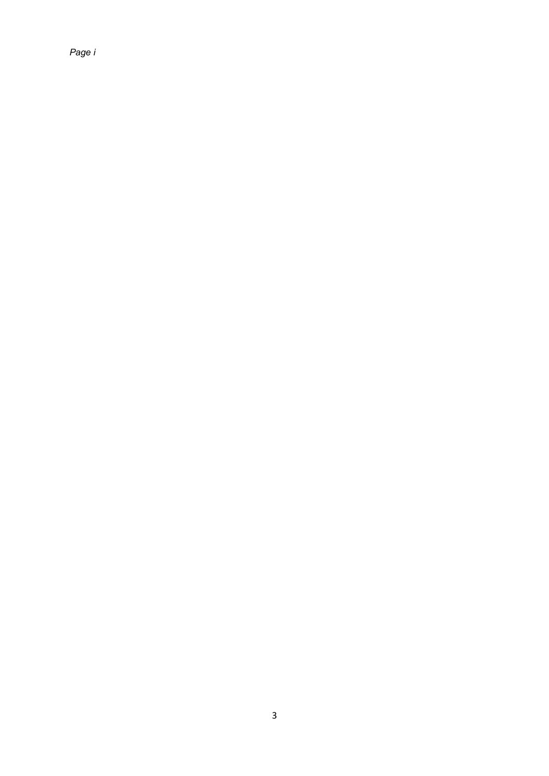Page i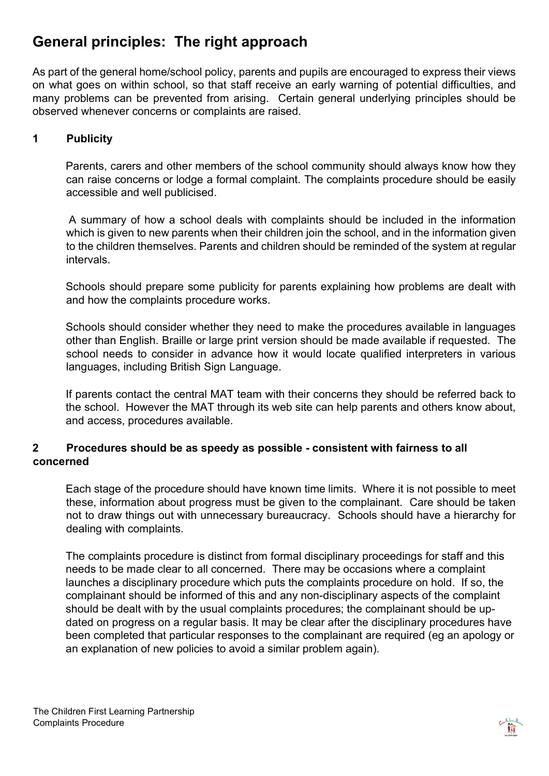### General principles: The right approach

As part of the general home/school policy, parents and pupils are encouraged to express their views on what goes on within school, so that staff receive an early warning of potential difficulties, and many problems can be prevented from arising. Certain general underlying principles should be observed whenever concerns or complaints are raised.

#### 1 Publicity

Parents, carers and other members of the school community should always know how they can raise concerns or lodge a formal complaint. The complaints procedure should be easily accessible and well publicised.

 A summary of how a school deals with complaints should be included in the information which is given to new parents when their children join the school, and in the information given to the children themselves. Parents and children should be reminded of the system at regular intervals.

Schools should prepare some publicity for parents explaining how problems are dealt with and how the complaints procedure works.

Schools should consider whether they need to make the procedures available in languages other than English. Braille or large print version should be made available if requested. The school needs to consider in advance how it would locate qualified interpreters in various languages, including British Sign Language.

If parents contact the central MAT team with their concerns they should be referred back to the school. However the MAT through its web site can help parents and others know about, and access, procedures available.

#### 2 Procedures should be as speedy as possible - consistent with fairness to all concerned

Each stage of the procedure should have known time limits. Where it is not possible to meet these, information about progress must be given to the complainant. Care should be taken not to draw things out with unnecessary bureaucracy. Schools should have a hierarchy for dealing with complaints.

The complaints procedure is distinct from formal disciplinary proceedings for staff and this needs to be made clear to all concerned. There may be occasions where a complaint launches a disciplinary procedure which puts the complaints procedure on hold. If so, the complainant should be informed of this and any non-disciplinary aspects of the complaint should be dealt with by the usual complaints procedures; the complainant should be updated on progress on a regular basis. It may be clear after the disciplinary procedures have been completed that particular responses to the complainant are required (eg an apology or an explanation of new policies to avoid a similar problem again).

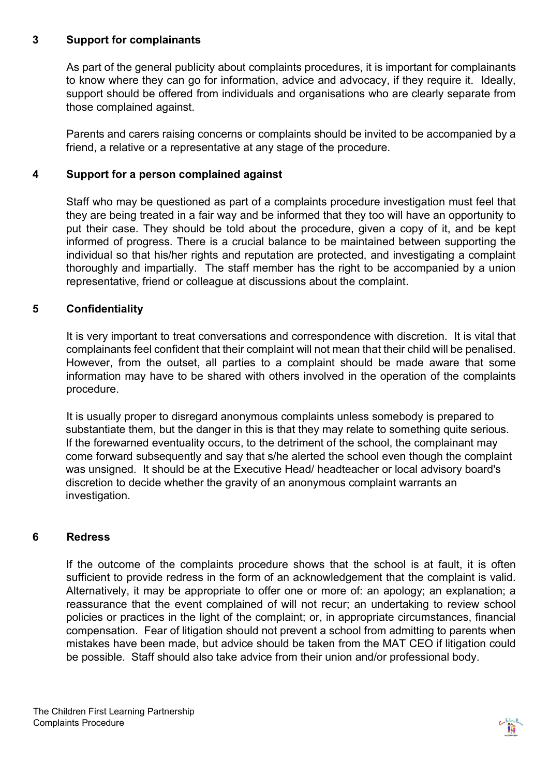#### 3 Support for complainants

 As part of the general publicity about complaints procedures, it is important for complainants to know where they can go for information, advice and advocacy, if they require it. Ideally, support should be offered from individuals and organisations who are clearly separate from those complained against.

 Parents and carers raising concerns or complaints should be invited to be accompanied by a friend, a relative or a representative at any stage of the procedure.

#### 4 Support for a person complained against

Staff who may be questioned as part of a complaints procedure investigation must feel that they are being treated in a fair way and be informed that they too will have an opportunity to put their case. They should be told about the procedure, given a copy of it, and be kept informed of progress. There is a crucial balance to be maintained between supporting the individual so that his/her rights and reputation are protected, and investigating a complaint thoroughly and impartially. The staff member has the right to be accompanied by a union representative, friend or colleague at discussions about the complaint.

#### 5 Confidentiality

 It is very important to treat conversations and correspondence with discretion. It is vital that complainants feel confident that their complaint will not mean that their child will be penalised. However, from the outset, all parties to a complaint should be made aware that some information may have to be shared with others involved in the operation of the complaints procedure.

 It is usually proper to disregard anonymous complaints unless somebody is prepared to substantiate them, but the danger in this is that they may relate to something quite serious. If the forewarned eventuality occurs, to the detriment of the school, the complainant may come forward subsequently and say that s/he alerted the school even though the complaint was unsigned. It should be at the Executive Head/ headteacher or local advisory board's discretion to decide whether the gravity of an anonymous complaint warrants an investigation.

#### 6 Redress

If the outcome of the complaints procedure shows that the school is at fault, it is often sufficient to provide redress in the form of an acknowledgement that the complaint is valid. Alternatively, it may be appropriate to offer one or more of: an apology; an explanation; a reassurance that the event complained of will not recur; an undertaking to review school policies or practices in the light of the complaint; or, in appropriate circumstances, financial compensation. Fear of litigation should not prevent a school from admitting to parents when mistakes have been made, but advice should be taken from the MAT CEO if litigation could be possible. Staff should also take advice from their union and/or professional body.

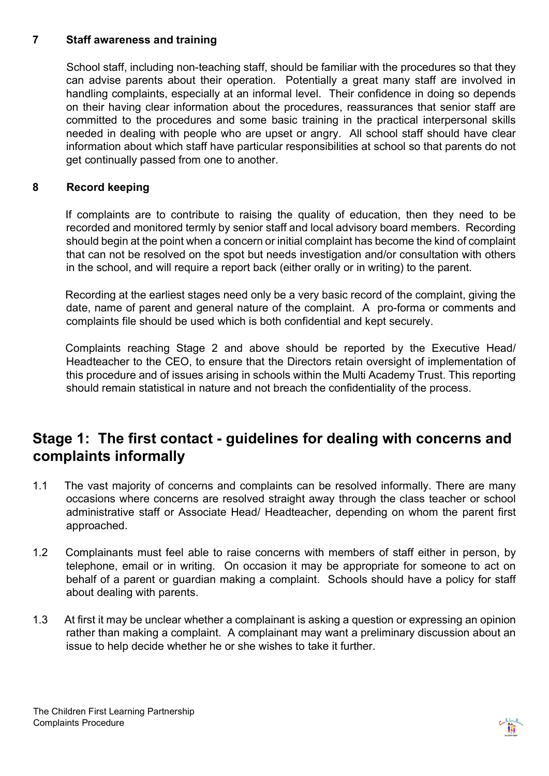#### 7 Staff awareness and training

 School staff, including non-teaching staff, should be familiar with the procedures so that they can advise parents about their operation. Potentially a great many staff are involved in handling complaints, especially at an informal level. Their confidence in doing so depends on their having clear information about the procedures, reassurances that senior staff are committed to the procedures and some basic training in the practical interpersonal skills needed in dealing with people who are upset or angry. All school staff should have clear information about which staff have particular responsibilities at school so that parents do not get continually passed from one to another.

#### 8 Record keeping

 If complaints are to contribute to raising the quality of education, then they need to be recorded and monitored termly by senior staff and local advisory board members. Recording should begin at the point when a concern or initial complaint has become the kind of complaint that can not be resolved on the spot but needs investigation and/or consultation with others in the school, and will require a report back (either orally or in writing) to the parent.

 Recording at the earliest stages need only be a very basic record of the complaint, giving the date, name of parent and general nature of the complaint. A pro-forma or comments and complaints file should be used which is both confidential and kept securely.

 Complaints reaching Stage 2 and above should be reported by the Executive Head/ Headteacher to the CEO, to ensure that the Directors retain oversight of implementation of this procedure and of issues arising in schools within the Multi Academy Trust. This reporting should remain statistical in nature and not breach the confidentiality of the process.

### Stage 1: The first contact - guidelines for dealing with concerns and complaints informally

- 1.1 The vast majority of concerns and complaints can be resolved informally. There are many occasions where concerns are resolved straight away through the class teacher or school administrative staff or Associate Head/ Headteacher, depending on whom the parent first approached.
- 1.2 Complainants must feel able to raise concerns with members of staff either in person, by telephone, email or in writing. On occasion it may be appropriate for someone to act on behalf of a parent or guardian making a complaint. Schools should have a policy for staff about dealing with parents.
- 1.3 At first it may be unclear whether a complainant is asking a question or expressing an opinion rather than making a complaint. A complainant may want a preliminary discussion about an issue to help decide whether he or she wishes to take it further.

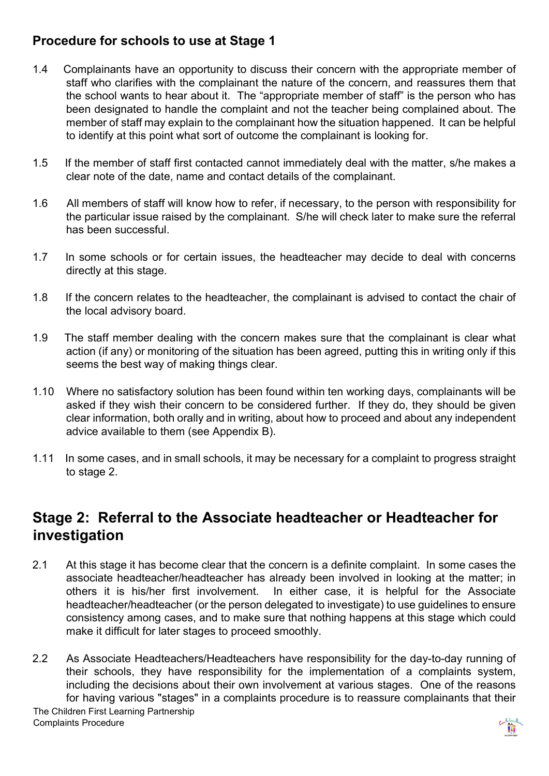#### Procedure for schools to use at Stage 1

- 1.4 Complainants have an opportunity to discuss their concern with the appropriate member of staff who clarifies with the complainant the nature of the concern, and reassures them that the school wants to hear about it. The "appropriate member of staff" is the person who has been designated to handle the complaint and not the teacher being complained about. The member of staff may explain to the complainant how the situation happened. It can be helpful to identify at this point what sort of outcome the complainant is looking for.
- 1.5 If the member of staff first contacted cannot immediately deal with the matter, s/he makes a clear note of the date, name and contact details of the complainant.
- 1.6 All members of staff will know how to refer, if necessary, to the person with responsibility for the particular issue raised by the complainant. S/he will check later to make sure the referral has been successful.
- 1.7 In some schools or for certain issues, the headteacher may decide to deal with concerns directly at this stage.
- 1.8 If the concern relates to the headteacher, the complainant is advised to contact the chair of the local advisory board.
- 1.9 The staff member dealing with the concern makes sure that the complainant is clear what action (if any) or monitoring of the situation has been agreed, putting this in writing only if this seems the best way of making things clear.
- 1.10 Where no satisfactory solution has been found within ten working days, complainants will be asked if they wish their concern to be considered further. If they do, they should be given clear information, both orally and in writing, about how to proceed and about any independent advice available to them (see Appendix B).
- 1.11 In some cases, and in small schools, it may be necessary for a complaint to progress straight to stage 2.

### Stage 2: Referral to the Associate headteacher or Headteacher for investigation

- 2.1 At this stage it has become clear that the concern is a definite complaint. In some cases the associate headteacher/headteacher has already been involved in looking at the matter; in others it is his/her first involvement. In either case, it is helpful for the Associate headteacher/headteacher (or the person delegated to investigate) to use guidelines to ensure consistency among cases, and to make sure that nothing happens at this stage which could make it difficult for later stages to proceed smoothly.
- The Children First Learning Partnership Complaints Procedure 2.2 As Associate Headteachers/Headteachers have responsibility for the day-to-day running of their schools, they have responsibility for the implementation of a complaints system, including the decisions about their own involvement at various stages. One of the reasons for having various "stages" in a complaints procedure is to reassure complainants that their

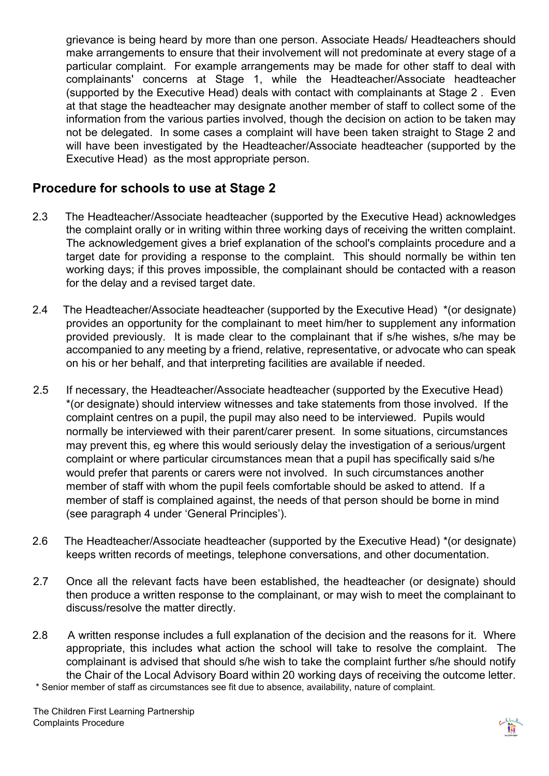grievance is being heard by more than one person. Associate Heads/ Headteachers should make arrangements to ensure that their involvement will not predominate at every stage of a particular complaint. For example arrangements may be made for other staff to deal with complainants' concerns at Stage 1, while the Headteacher/Associate headteacher (supported by the Executive Head) deals with contact with complainants at Stage 2 . Even at that stage the headteacher may designate another member of staff to collect some of the information from the various parties involved, though the decision on action to be taken may not be delegated. In some cases a complaint will have been taken straight to Stage 2 and will have been investigated by the Headteacher/Associate headteacher (supported by the Executive Head) as the most appropriate person.

#### Procedure for schools to use at Stage 2

- 2.3 The Headteacher/Associate headteacher (supported by the Executive Head) acknowledges the complaint orally or in writing within three working days of receiving the written complaint. The acknowledgement gives a brief explanation of the school's complaints procedure and a target date for providing a response to the complaint. This should normally be within ten working days; if this proves impossible, the complainant should be contacted with a reason for the delay and a revised target date.
- 2.4 The Headteacher/Associate headteacher (supported by the Executive Head) \*(or designate) provides an opportunity for the complainant to meet him/her to supplement any information provided previously. It is made clear to the complainant that if s/he wishes, s/he may be accompanied to any meeting by a friend, relative, representative, or advocate who can speak on his or her behalf, and that interpreting facilities are available if needed.
- 2.5 If necessary, the Headteacher/Associate headteacher (supported by the Executive Head) \*(or designate) should interview witnesses and take statements from those involved. If the complaint centres on a pupil, the pupil may also need to be interviewed. Pupils would normally be interviewed with their parent/carer present. In some situations, circumstances may prevent this, eg where this would seriously delay the investigation of a serious/urgent complaint or where particular circumstances mean that a pupil has specifically said s/he would prefer that parents or carers were not involved. In such circumstances another member of staff with whom the pupil feels comfortable should be asked to attend. If a member of staff is complained against, the needs of that person should be borne in mind (see paragraph 4 under 'General Principles').
- 2.6 The Headteacher/Associate headteacher (supported by the Executive Head) \*(or designate) keeps written records of meetings, telephone conversations, and other documentation.
- 2.7 Once all the relevant facts have been established, the headteacher (or designate) should then produce a written response to the complainant, or may wish to meet the complainant to discuss/resolve the matter directly.
- 2.8 A written response includes a full explanation of the decision and the reasons for it. Where appropriate, this includes what action the school will take to resolve the complaint. The complainant is advised that should s/he wish to take the complaint further s/he should notify the Chair of the Local Advisory Board within 20 working days of receiving the outcome letter.

\* Senior member of staff as circumstances see fit due to absence, availability, nature of complaint.

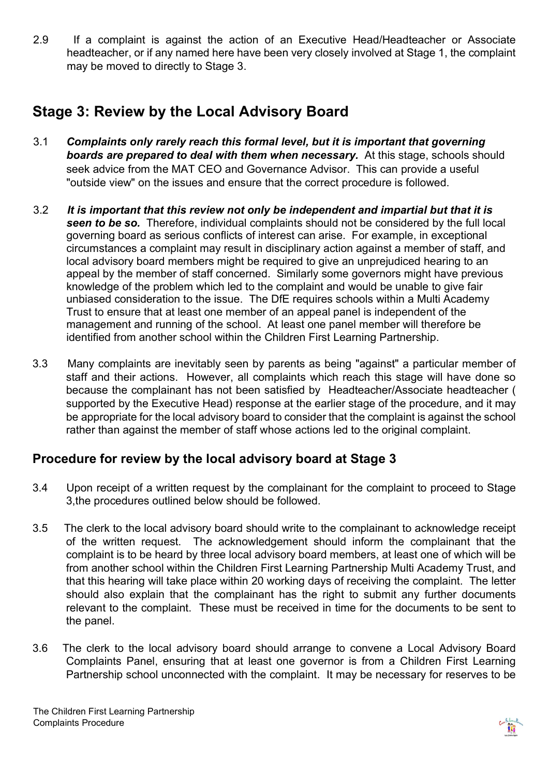2.9 If a complaint is against the action of an Executive Head/Headteacher or Associate headteacher, or if any named here have been very closely involved at Stage 1, the complaint may be moved to directly to Stage 3.

### Stage 3: Review by the Local Advisory Board

- 3.1 Complaints only rarely reach this formal level, but it is important that governing boards are prepared to deal with them when necessary. At this stage, schools should seek advice from the MAT CEO and Governance Advisor. This can provide a useful "outside view" on the issues and ensure that the correct procedure is followed.
- 3.2 It is important that this review not only be independent and impartial but that it is seen to be so. Therefore, individual complaints should not be considered by the full local governing board as serious conflicts of interest can arise. For example, in exceptional circumstances a complaint may result in disciplinary action against a member of staff, and local advisory board members might be required to give an unprejudiced hearing to an appeal by the member of staff concerned. Similarly some governors might have previous knowledge of the problem which led to the complaint and would be unable to give fair unbiased consideration to the issue. The DfE requires schools within a Multi Academy Trust to ensure that at least one member of an appeal panel is independent of the management and running of the school. At least one panel member will therefore be identified from another school within the Children First Learning Partnership.
- 3.3 Many complaints are inevitably seen by parents as being "against" a particular member of staff and their actions. However, all complaints which reach this stage will have done so because the complainant has not been satisfied by Headteacher/Associate headteacher ( supported by the Executive Head) response at the earlier stage of the procedure, and it may be appropriate for the local advisory board to consider that the complaint is against the school rather than against the member of staff whose actions led to the original complaint.

#### Procedure for review by the local advisory board at Stage 3

- 3.4 Upon receipt of a written request by the complainant for the complaint to proceed to Stage 3,the procedures outlined below should be followed.
- 3.5 The clerk to the local advisory board should write to the complainant to acknowledge receipt of the written request. The acknowledgement should inform the complainant that the complaint is to be heard by three local advisory board members, at least one of which will be from another school within the Children First Learning Partnership Multi Academy Trust, and that this hearing will take place within 20 working days of receiving the complaint. The letter should also explain that the complainant has the right to submit any further documents relevant to the complaint. These must be received in time for the documents to be sent to the panel.
- 3.6 The clerk to the local advisory board should arrange to convene a Local Advisory Board Complaints Panel, ensuring that at least one governor is from a Children First Learning Partnership school unconnected with the complaint. It may be necessary for reserves to be

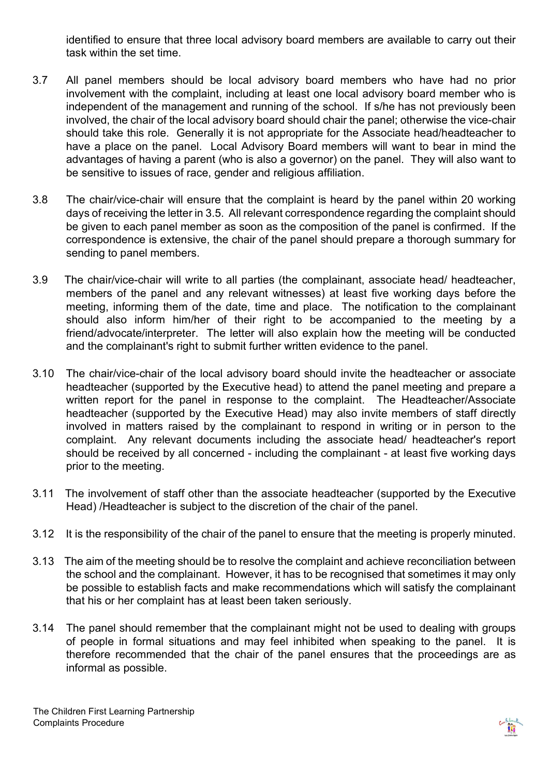identified to ensure that three local advisory board members are available to carry out their task within the set time.

- 3.7 All panel members should be local advisory board members who have had no prior involvement with the complaint, including at least one local advisory board member who is independent of the management and running of the school. If s/he has not previously been involved, the chair of the local advisory board should chair the panel; otherwise the vice-chair should take this role. Generally it is not appropriate for the Associate head/headteacher to have a place on the panel. Local Advisory Board members will want to bear in mind the advantages of having a parent (who is also a governor) on the panel. They will also want to be sensitive to issues of race, gender and religious affiliation.
- 3.8 The chair/vice-chair will ensure that the complaint is heard by the panel within 20 working days of receiving the letter in 3.5. All relevant correspondence regarding the complaint should be given to each panel member as soon as the composition of the panel is confirmed. If the correspondence is extensive, the chair of the panel should prepare a thorough summary for sending to panel members.
- 3.9 The chair/vice-chair will write to all parties (the complainant, associate head/ headteacher, members of the panel and any relevant witnesses) at least five working days before the meeting, informing them of the date, time and place. The notification to the complainant should also inform him/her of their right to be accompanied to the meeting by a friend/advocate/interpreter. The letter will also explain how the meeting will be conducted and the complainant's right to submit further written evidence to the panel.
- 3.10 The chair/vice-chair of the local advisory board should invite the headteacher or associate headteacher (supported by the Executive head) to attend the panel meeting and prepare a written report for the panel in response to the complaint. The Headteacher/Associate headteacher (supported by the Executive Head) may also invite members of staff directly involved in matters raised by the complainant to respond in writing or in person to the complaint. Any relevant documents including the associate head/ headteacher's report should be received by all concerned - including the complainant - at least five working days prior to the meeting.
- 3.11 The involvement of staff other than the associate headteacher (supported by the Executive Head) /Headteacher is subject to the discretion of the chair of the panel.
- 3.12 It is the responsibility of the chair of the panel to ensure that the meeting is properly minuted.
- 3.13 The aim of the meeting should be to resolve the complaint and achieve reconciliation between the school and the complainant. However, it has to be recognised that sometimes it may only be possible to establish facts and make recommendations which will satisfy the complainant that his or her complaint has at least been taken seriously.
- 3.14 The panel should remember that the complainant might not be used to dealing with groups of people in formal situations and may feel inhibited when speaking to the panel. It is therefore recommended that the chair of the panel ensures that the proceedings are as informal as possible.

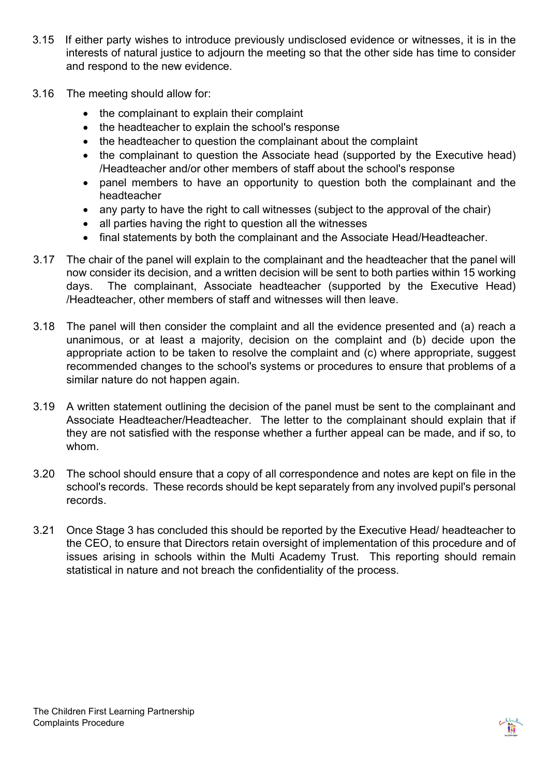- 3.15 If either party wishes to introduce previously undisclosed evidence or witnesses, it is in the interests of natural justice to adjourn the meeting so that the other side has time to consider and respond to the new evidence.
- 3.16 The meeting should allow for:
	- the complainant to explain their complaint
	- the headteacher to explain the school's response
	- the headteacher to question the complainant about the complaint
	- the complainant to question the Associate head (supported by the Executive head) /Headteacher and/or other members of staff about the school's response
	- panel members to have an opportunity to question both the complainant and the headteacher
	- any party to have the right to call witnesses (subject to the approval of the chair)
	- all parties having the right to question all the witnesses
	- final statements by both the complainant and the Associate Head/Headteacher.
- 3.17 The chair of the panel will explain to the complainant and the headteacher that the panel will now consider its decision, and a written decision will be sent to both parties within 15 working days. The complainant, Associate headteacher (supported by the Executive Head) /Headteacher, other members of staff and witnesses will then leave.
- 3.18 The panel will then consider the complaint and all the evidence presented and (a) reach a unanimous, or at least a majority, decision on the complaint and (b) decide upon the appropriate action to be taken to resolve the complaint and (c) where appropriate, suggest recommended changes to the school's systems or procedures to ensure that problems of a similar nature do not happen again.
- 3.19 A written statement outlining the decision of the panel must be sent to the complainant and Associate Headteacher/Headteacher. The letter to the complainant should explain that if they are not satisfied with the response whether a further appeal can be made, and if so, to whom.
- 3.20 The school should ensure that a copy of all correspondence and notes are kept on file in the school's records. These records should be kept separately from any involved pupil's personal records.
- 3.21 Once Stage 3 has concluded this should be reported by the Executive Head/ headteacher to the CEO, to ensure that Directors retain oversight of implementation of this procedure and of issues arising in schools within the Multi Academy Trust. This reporting should remain statistical in nature and not breach the confidentiality of the process.

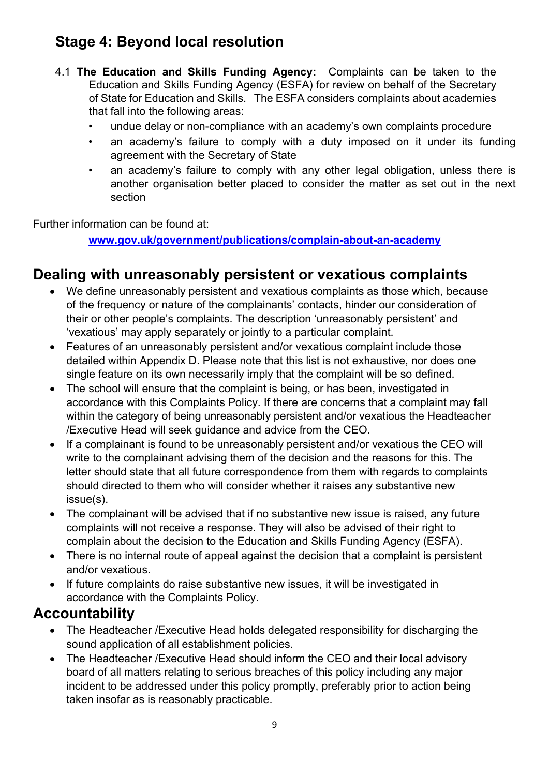### Stage 4: Beyond local resolution

- 4.1 The Education and Skills Funding Agency: Complaints can be taken to the Education and Skills Funding Agency (ESFA) for review on behalf of the Secretary of State for Education and Skills. The ESFA considers complaints about academies that fall into the following areas:
	- undue delay or non-compliance with an academy's own complaints procedure
	- an academy's failure to comply with a duty imposed on it under its funding agreement with the Secretary of State
	- an academy's failure to comply with any other legal obligation, unless there is another organisation better placed to consider the matter as set out in the next section

Further information can be found at:

www.gov.uk/government/publications/complain-about-an-academy

### Dealing with unreasonably persistent or vexatious complaints

- We define unreasonably persistent and vexatious complaints as those which, because of the frequency or nature of the complainants' contacts, hinder our consideration of their or other people's complaints. The description 'unreasonably persistent' and 'vexatious' may apply separately or jointly to a particular complaint.
- Features of an unreasonably persistent and/or vexatious complaint include those detailed within Appendix D. Please note that this list is not exhaustive, nor does one single feature on its own necessarily imply that the complaint will be so defined.
- The school will ensure that the complaint is being, or has been, investigated in accordance with this Complaints Policy. If there are concerns that a complaint may fall within the category of being unreasonably persistent and/or vexatious the Headteacher /Executive Head will seek guidance and advice from the CEO.
- If a complainant is found to be unreasonably persistent and/or vexatious the CEO will write to the complainant advising them of the decision and the reasons for this. The letter should state that all future correspondence from them with regards to complaints should directed to them who will consider whether it raises any substantive new issue(s).
- The complainant will be advised that if no substantive new issue is raised, any future complaints will not receive a response. They will also be advised of their right to complain about the decision to the Education and Skills Funding Agency (ESFA).
- There is no internal route of appeal against the decision that a complaint is persistent and/or vexatious.
- If future complaints do raise substantive new issues, it will be investigated in accordance with the Complaints Policy.

### Accountability

- The Headteacher /Executive Head holds delegated responsibility for discharging the sound application of all establishment policies.
- The Headteacher / Executive Head should inform the CEO and their local advisory board of all matters relating to serious breaches of this policy including any major incident to be addressed under this policy promptly, preferably prior to action being taken insofar as is reasonably practicable.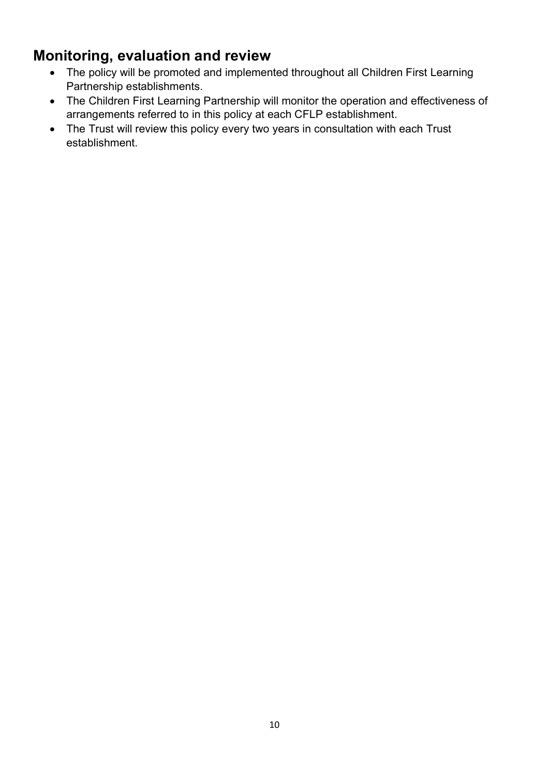### Monitoring, evaluation and review

- The policy will be promoted and implemented throughout all Children First Learning Partnership establishments.
- The Children First Learning Partnership will monitor the operation and effectiveness of arrangements referred to in this policy at each CFLP establishment.
- The Trust will review this policy every two years in consultation with each Trust establishment.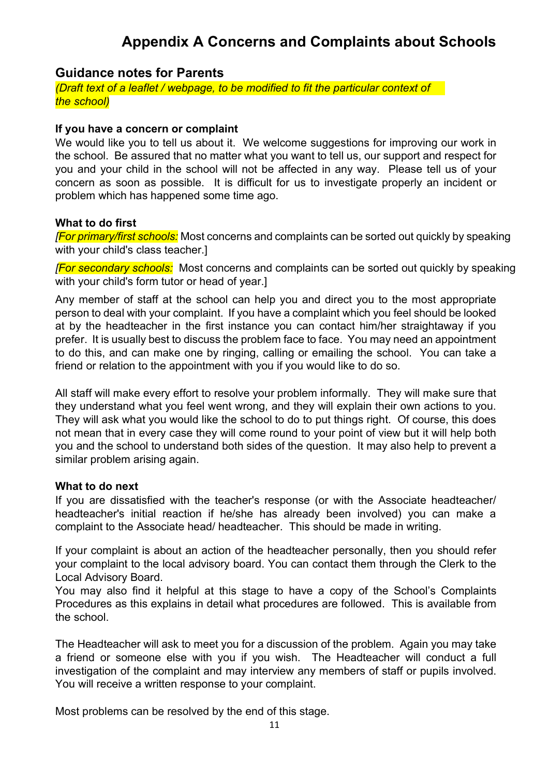### Appendix A Concerns and Complaints about Schools

#### Guidance notes for Parents

(Draft text of a leaflet / webpage, to be modified to fit the particular context of the school)

#### If you have a concern or complaint

We would like you to tell us about it. We welcome suggestions for improving our work in the school. Be assured that no matter what you want to tell us, our support and respect for you and your child in the school will not be affected in any way. Please tell us of your concern as soon as possible. It is difficult for us to investigate properly an incident or problem which has happened some time ago.

#### What to do first

**For primary/first schools:** Most concerns and complaints can be sorted out quickly by speaking with your child's class teacher.]

**For secondary schools:** Most concerns and complaints can be sorted out quickly by speaking with your child's form tutor or head of year.]

Any member of staff at the school can help you and direct you to the most appropriate person to deal with your complaint. If you have a complaint which you feel should be looked at by the headteacher in the first instance you can contact him/her straightaway if you prefer. It is usually best to discuss the problem face to face. You may need an appointment to do this, and can make one by ringing, calling or emailing the school. You can take a friend or relation to the appointment with you if you would like to do so.

All staff will make every effort to resolve your problem informally. They will make sure that they understand what you feel went wrong, and they will explain their own actions to you. They will ask what you would like the school to do to put things right. Of course, this does not mean that in every case they will come round to your point of view but it will help both you and the school to understand both sides of the question. It may also help to prevent a similar problem arising again.

#### What to do next

If you are dissatisfied with the teacher's response (or with the Associate headteacher/ headteacher's initial reaction if he/she has already been involved) you can make a complaint to the Associate head/ headteacher. This should be made in writing.

If your complaint is about an action of the headteacher personally, then you should refer your complaint to the local advisory board. You can contact them through the Clerk to the Local Advisory Board.

You may also find it helpful at this stage to have a copy of the School's Complaints Procedures as this explains in detail what procedures are followed. This is available from the school.

The Headteacher will ask to meet you for a discussion of the problem. Again you may take a friend or someone else with you if you wish. The Headteacher will conduct a full investigation of the complaint and may interview any members of staff or pupils involved. You will receive a written response to your complaint.

Most problems can be resolved by the end of this stage.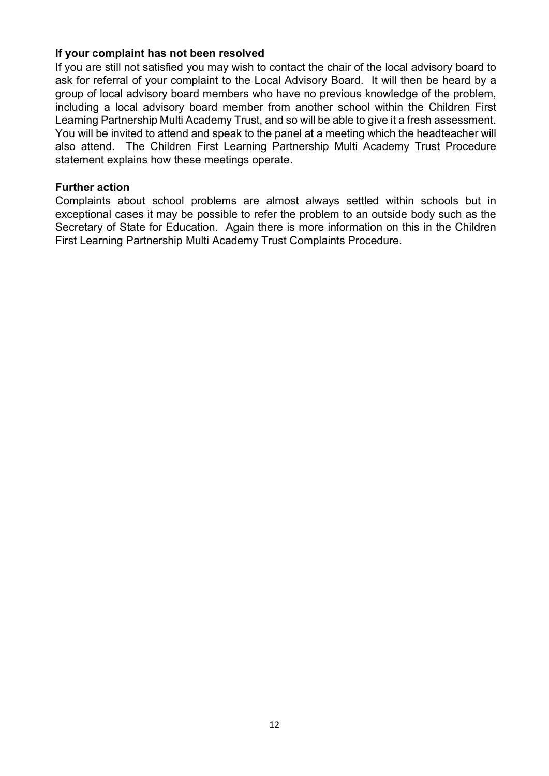#### If your complaint has not been resolved

If you are still not satisfied you may wish to contact the chair of the local advisory board to ask for referral of your complaint to the Local Advisory Board. It will then be heard by a group of local advisory board members who have no previous knowledge of the problem, including a local advisory board member from another school within the Children First Learning Partnership Multi Academy Trust, and so will be able to give it a fresh assessment. You will be invited to attend and speak to the panel at a meeting which the headteacher will also attend. The Children First Learning Partnership Multi Academy Trust Procedure statement explains how these meetings operate.

#### Further action

Complaints about school problems are almost always settled within schools but in exceptional cases it may be possible to refer the problem to an outside body such as the Secretary of State for Education. Again there is more information on this in the Children First Learning Partnership Multi Academy Trust Complaints Procedure.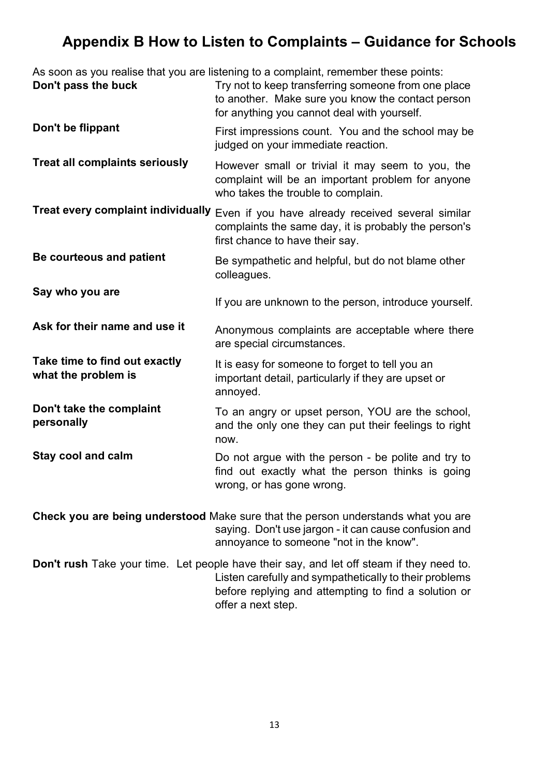### Appendix B How to Listen to Complaints – Guidance for Schools

As soon as you realise that you are listening to a complaint, remember these points:

| Don't pass the buck                                  | Try not to keep transferring someone from one place<br>to another. Make sure you know the contact person<br>for anything you cannot deal with yourself.                                                                                 |
|------------------------------------------------------|-----------------------------------------------------------------------------------------------------------------------------------------------------------------------------------------------------------------------------------------|
| Don't be flippant                                    | First impressions count. You and the school may be<br>judged on your immediate reaction.                                                                                                                                                |
| <b>Treat all complaints seriously</b>                | However small or trivial it may seem to you, the<br>complaint will be an important problem for anyone<br>who takes the trouble to complain.                                                                                             |
| Treat every complaint individually                   | Even if you have already received several similar<br>complaints the same day, it is probably the person's<br>first chance to have their say.                                                                                            |
| Be courteous and patient                             | Be sympathetic and helpful, but do not blame other<br>colleagues.                                                                                                                                                                       |
| Say who you are                                      | If you are unknown to the person, introduce yourself.                                                                                                                                                                                   |
| Ask for their name and use it                        | Anonymous complaints are acceptable where there<br>are special circumstances.                                                                                                                                                           |
| Take time to find out exactly<br>what the problem is | It is easy for someone to forget to tell you an<br>important detail, particularly if they are upset or<br>annoyed.                                                                                                                      |
| Don't take the complaint<br>personally               | To an angry or upset person, YOU are the school,<br>and the only one they can put their feelings to right<br>now.                                                                                                                       |
| <b>Stay cool and calm</b>                            | Do not argue with the person - be polite and try to<br>find out exactly what the person thinks is going<br>wrong, or has gone wrong.                                                                                                    |
|                                                      | <b>Check you are being understood</b> Make sure that the person understands what you are<br>saying. Don't use jargon - it can cause confusion and<br>annoyance to someone "not in the know".                                            |
|                                                      | <b>Don't rush</b> Take your time. Let people have their say, and let off steam if they need to.<br>Listen carefully and sympathetically to their problems<br>before replying and attempting to find a solution or<br>offer a next step. |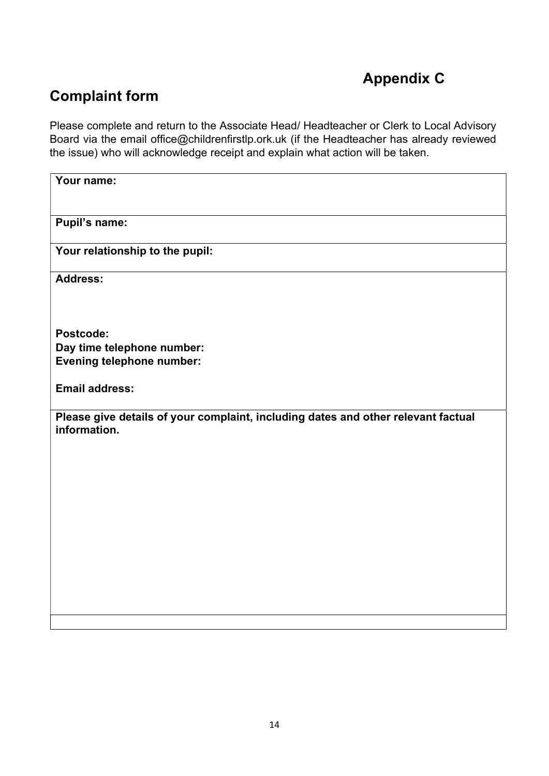### Appendix C

### Complaint form

Please complete and return to the Associate Head/ Headteacher or Clerk to Local Advisory Board via the email office@childrenfirstlp.ork.uk (if the Headteacher has already reviewed the issue) who will acknowledge receipt and explain what action will be taken.

| Your name:                                                                                        |
|---------------------------------------------------------------------------------------------------|
|                                                                                                   |
|                                                                                                   |
| <b>Pupil's name:</b>                                                                              |
| Your relationship to the pupil:                                                                   |
|                                                                                                   |
| <b>Address:</b>                                                                                   |
|                                                                                                   |
|                                                                                                   |
| <b>Postcode:</b>                                                                                  |
| Day time telephone number:                                                                        |
| <b>Evening telephone number:</b>                                                                  |
|                                                                                                   |
| <b>Email address:</b>                                                                             |
|                                                                                                   |
| Please give details of your complaint, including dates and other relevant factual<br>information. |
|                                                                                                   |
|                                                                                                   |
|                                                                                                   |
|                                                                                                   |
|                                                                                                   |
|                                                                                                   |
|                                                                                                   |
|                                                                                                   |
|                                                                                                   |
|                                                                                                   |
|                                                                                                   |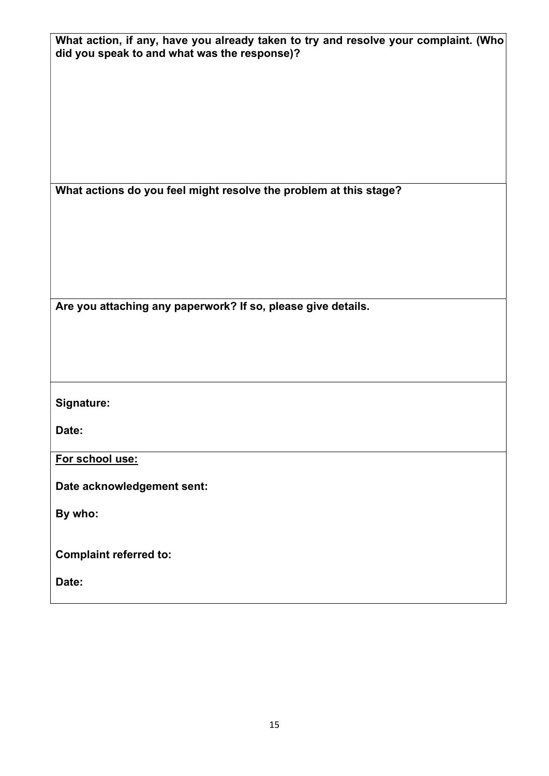| What action, if any, have you already taken to try and resolve your complaint. (Who<br>did you speak to and what was the response)? |
|-------------------------------------------------------------------------------------------------------------------------------------|
|                                                                                                                                     |
|                                                                                                                                     |
|                                                                                                                                     |
|                                                                                                                                     |
|                                                                                                                                     |
| What actions do you feel might resolve the problem at this stage?                                                                   |
|                                                                                                                                     |
|                                                                                                                                     |
|                                                                                                                                     |
|                                                                                                                                     |
| Are you attaching any paperwork? If so, please give details.                                                                        |
|                                                                                                                                     |
|                                                                                                                                     |
|                                                                                                                                     |
|                                                                                                                                     |
| Signature:                                                                                                                          |
| Date:                                                                                                                               |
| For school use:                                                                                                                     |
| Date acknowledgement sent:                                                                                                          |
|                                                                                                                                     |
| By who:                                                                                                                             |
|                                                                                                                                     |
| <b>Complaint referred to:</b>                                                                                                       |
| Date:                                                                                                                               |
|                                                                                                                                     |